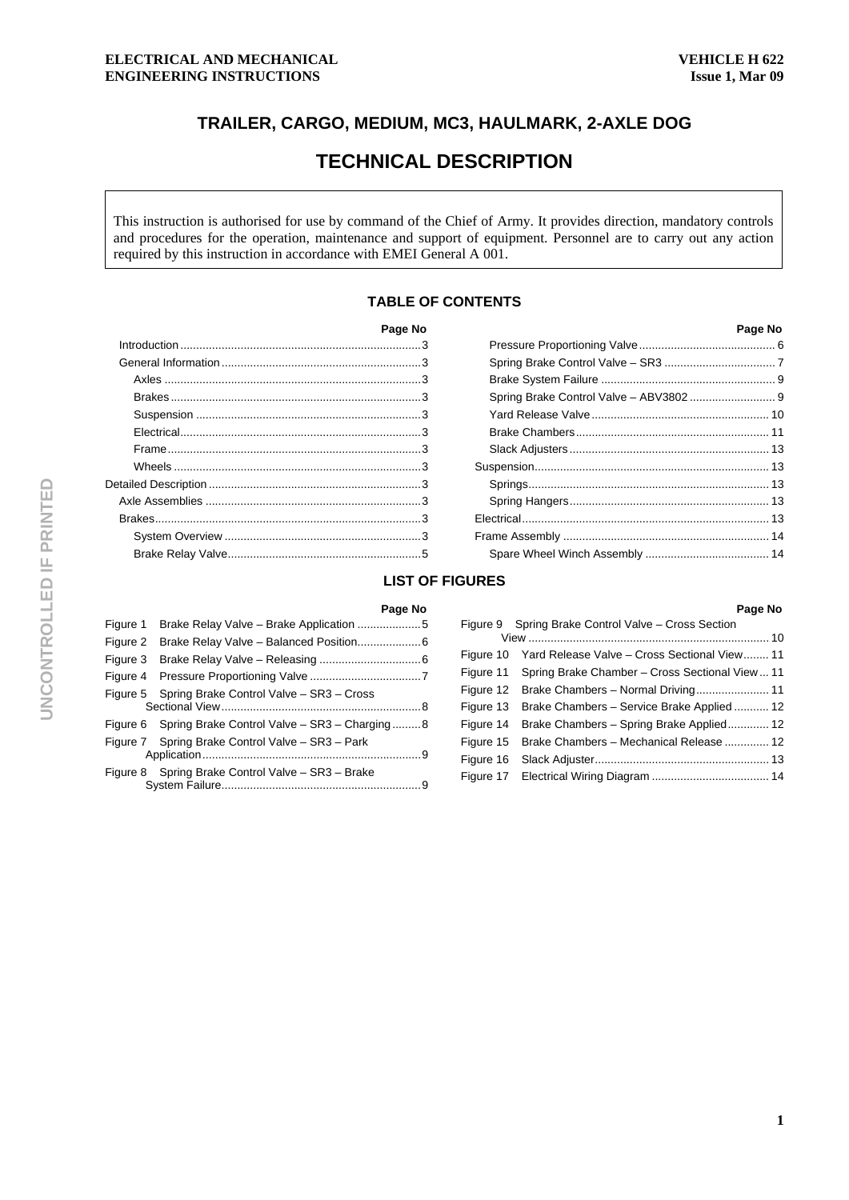# **TRAILER, CARGO, MEDIUM, MC3, HAULMARK, 2-AXLE DOG**

# **TECHNICAL DESCRIPTION**

This instruction is authorised for use by command of the Chief of Army. It provides direction, mandatory controls and procedures for the operation, maintenance and support of equipment. Personnel are to carry out any action required by this instruction in accordance with EMEI General A 001.

## **TABLE OF CONTENTS**

| <b>Page No</b> |
|----------------|
|                |
|                |
|                |
|                |
|                |
|                |
|                |
|                |
|                |
|                |
|                |
|                |
|                |
|                |

| Page No | Page No |
|---------|---------|
|         | 3       |
|         | 3       |
|         | 3       |
|         | 3       |
|         | 3       |
|         | 3       |
|         | . 3     |
|         | 3       |
|         | . 3     |
|         | 3       |
|         | . 3     |
|         | 3       |
|         | . 5     |

## **LIST OF FIGURES**

|          |                                                       | Page No |
|----------|-------------------------------------------------------|---------|
| Figure 1 |                                                       |         |
|          |                                                       |         |
| Figure 3 |                                                       |         |
|          |                                                       |         |
|          | Figure 5 Spring Brake Control Valve - SR3 - Cross     |         |
|          |                                                       |         |
|          | Figure 6 Spring Brake Control Valve – SR3 – Charging8 |         |
|          | Figure 7 Spring Brake Control Valve - SR3 - Park      |         |
|          |                                                       |         |
|          | Figure 8 Spring Brake Control Valve - SR3 - Brake     |         |

|           | Page No                                                  |
|-----------|----------------------------------------------------------|
|           | Figure 9 Spring Brake Control Valve – Cross Section      |
|           |                                                          |
|           | Figure 10 Yard Release Valve – Cross Sectional View 11   |
|           | Figure 11 Spring Brake Chamber - Cross Sectional View 11 |
| Figure 12 |                                                          |
| Figure 13 | Brake Chambers - Service Brake Applied 12                |
| Figure 14 | Brake Chambers - Spring Brake Applied 12                 |
| Figure 15 | Brake Chambers - Mechanical Release  12                  |
| Figure 16 |                                                          |
|           |                                                          |
|           |                                                          |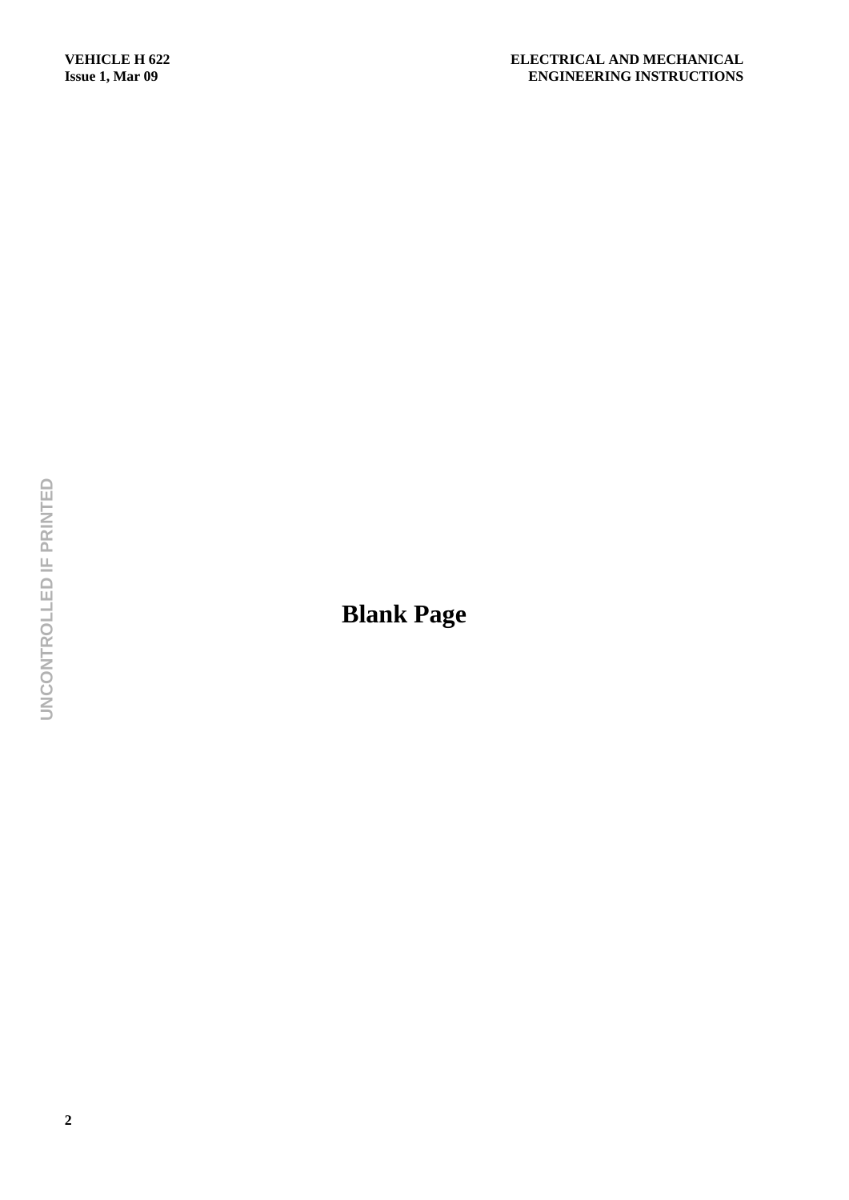# **Blank Page**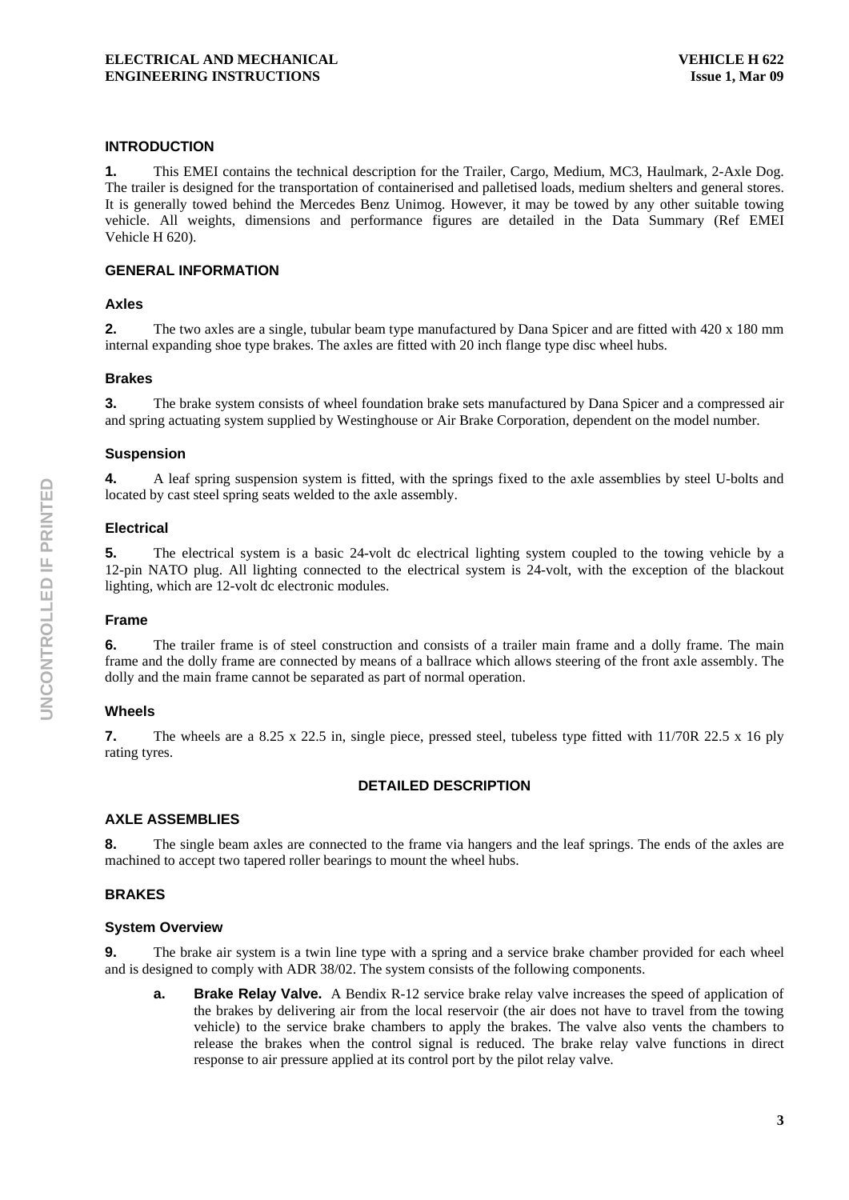## **INTRODUCTION**

**1.** This EMEI contains the technical description for the Trailer, Cargo, Medium, MC3, Haulmark, 2-Axle Dog. The trailer is designed for the transportation of containerised and palletised loads, medium shelters and general stores. It is generally towed behind the Mercedes Benz Unimog. However, it may be towed by any other suitable towing vehicle. All weights, dimensions and performance figures are detailed in the Data Summary (Ref EMEI Vehicle H 620).

## **GENERAL INFORMATION**

#### **Axles**

**2.** The two axles are a single, tubular beam type manufactured by Dana Spicer and are fitted with 420 x 180 mm internal expanding shoe type brakes. The axles are fitted with 20 inch flange type disc wheel hubs.

#### **Brakes**

**3.** The brake system consists of wheel foundation brake sets manufactured by Dana Spicer and a compressed air and spring actuating system supplied by Westinghouse or Air Brake Corporation, dependent on the model number.

#### **Suspension**

**4.** A leaf spring suspension system is fitted, with the springs fixed to the axle assemblies by steel U-bolts and located by cast steel spring seats welded to the axle assembly.

#### **Electrical**

**5.** The electrical system is a basic 24-volt dc electrical lighting system coupled to the towing vehicle by a 12-pin NATO plug. All lighting connected to the electrical system is 24-volt, with the exception of the blackout lighting, which are 12-volt dc electronic modules.

#### **Frame**

**6.** The trailer frame is of steel construction and consists of a trailer main frame and a dolly frame. The main frame and the dolly frame are connected by means of a ballrace which allows steering of the front axle assembly. The dolly and the main frame cannot be separated as part of normal operation.

#### **Wheels**

**7.** The wheels are a 8.25 x 22.5 in, single piece, pressed steel, tubeless type fitted with 11/70R 22.5 x 16 ply rating tyres.

#### **DETAILED DESCRIPTION**

#### **AXLE ASSEMBLIES**

**8.** The single beam axles are connected to the frame via hangers and the leaf springs. The ends of the axles are machined to accept two tapered roller bearings to mount the wheel hubs.

#### **BRAKES**

#### **System Overview**

**9.** The brake air system is a twin line type with a spring and a service brake chamber provided for each wheel and is designed to comply with ADR 38/02. The system consists of the following components.

**a.** Brake Relay Valve. A Bendix R-12 service brake relay valve increases the speed of application of the brakes by delivering air from the local reservoir (the air does not have to travel from the towing vehicle) to the service brake chambers to apply the brakes. The valve also vents the chambers to release the brakes when the control signal is reduced. The brake relay valve functions in direct response to air pressure applied at its control port by the pilot relay valve.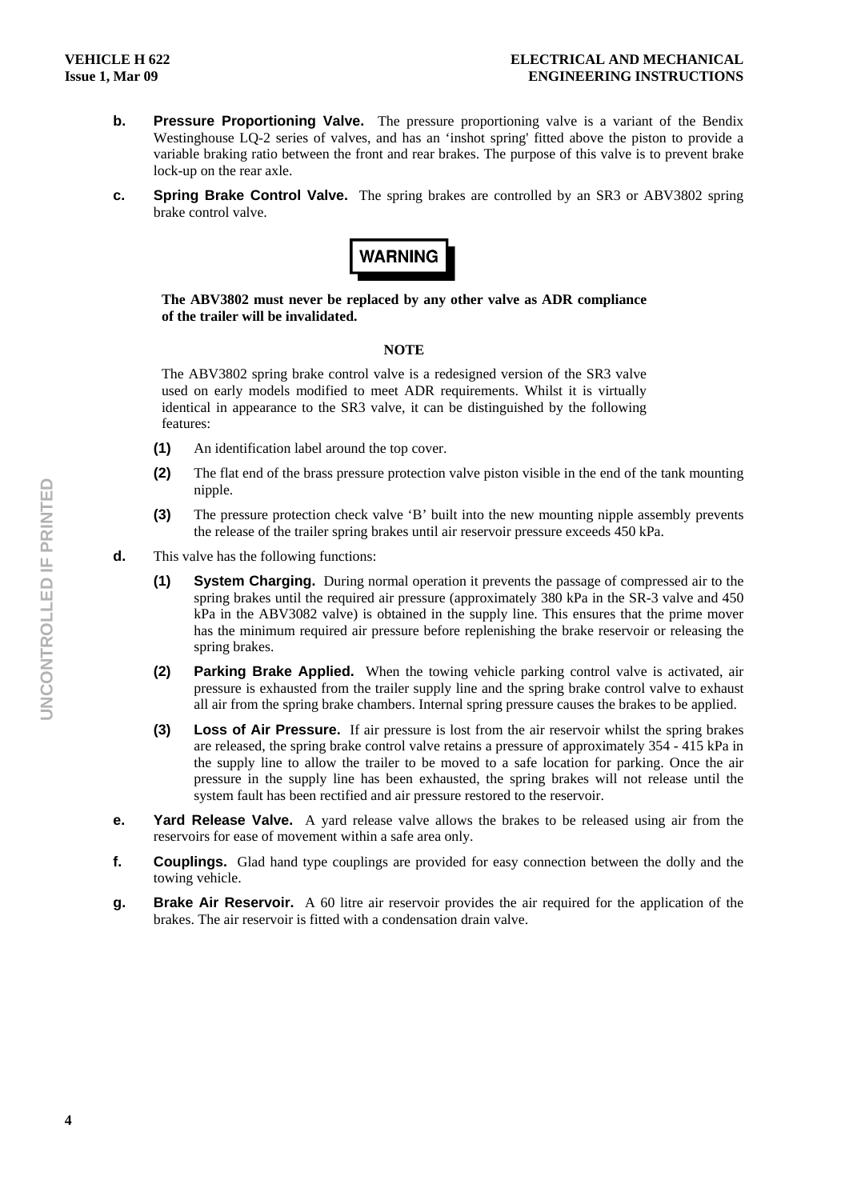- **b.** Pressure Proportioning Valve. The pressure proportioning valve is a variant of the Bendix Westinghouse LQ-2 series of valves, and has an 'inshot spring' fitted above the piston to provide a variable braking ratio between the front and rear brakes. The purpose of this valve is to prevent brake lock-up on the rear axle.
- **c. Spring Brake Control Valve.** The spring brakes are controlled by an SR3 or ABV3802 spring brake control valve.



**The ABV3802 must never be replaced by any other valve as ADR compliance of the trailer will be invalidated.** 

#### **NOTE**

The ABV3802 spring brake control valve is a redesigned version of the SR3 valve used on early models modified to meet ADR requirements. Whilst it is virtually identical in appearance to the SR3 valve, it can be distinguished by the following features:

- **(1)** An identification label around the top cover.
- **(2)** The flat end of the brass pressure protection valve piston visible in the end of the tank mounting nipple.
- **(3)** The pressure protection check valve 'B' built into the new mounting nipple assembly prevents the release of the trailer spring brakes until air reservoir pressure exceeds 450 kPa.
- **d.** This valve has the following functions:
	- **(1) System Charging.** During normal operation it prevents the passage of compressed air to the spring brakes until the required air pressure (approximately 380 kPa in the SR-3 valve and 450 kPa in the ABV3082 valve) is obtained in the supply line. This ensures that the prime mover has the minimum required air pressure before replenishing the brake reservoir or releasing the spring brakes.
	- **(2) Parking Brake Applied.** When the towing vehicle parking control valve is activated, air pressure is exhausted from the trailer supply line and the spring brake control valve to exhaust all air from the spring brake chambers. Internal spring pressure causes the brakes to be applied.
	- **(3) Loss of Air Pressure.** If air pressure is lost from the air reservoir whilst the spring brakes are released, the spring brake control valve retains a pressure of approximately 354 - 415 kPa in the supply line to allow the trailer to be moved to a safe location for parking. Once the air pressure in the supply line has been exhausted, the spring brakes will not release until the system fault has been rectified and air pressure restored to the reservoir.
- **e. Yard Release Valve.** A yard release valve allows the brakes to be released using air from the reservoirs for ease of movement within a safe area only.
- **f. Couplings.** Glad hand type couplings are provided for easy connection between the dolly and the towing vehicle.
- **g. Brake Air Reservoir.** A 60 litre air reservoir provides the air required for the application of the brakes. The air reservoir is fitted with a condensation drain valve.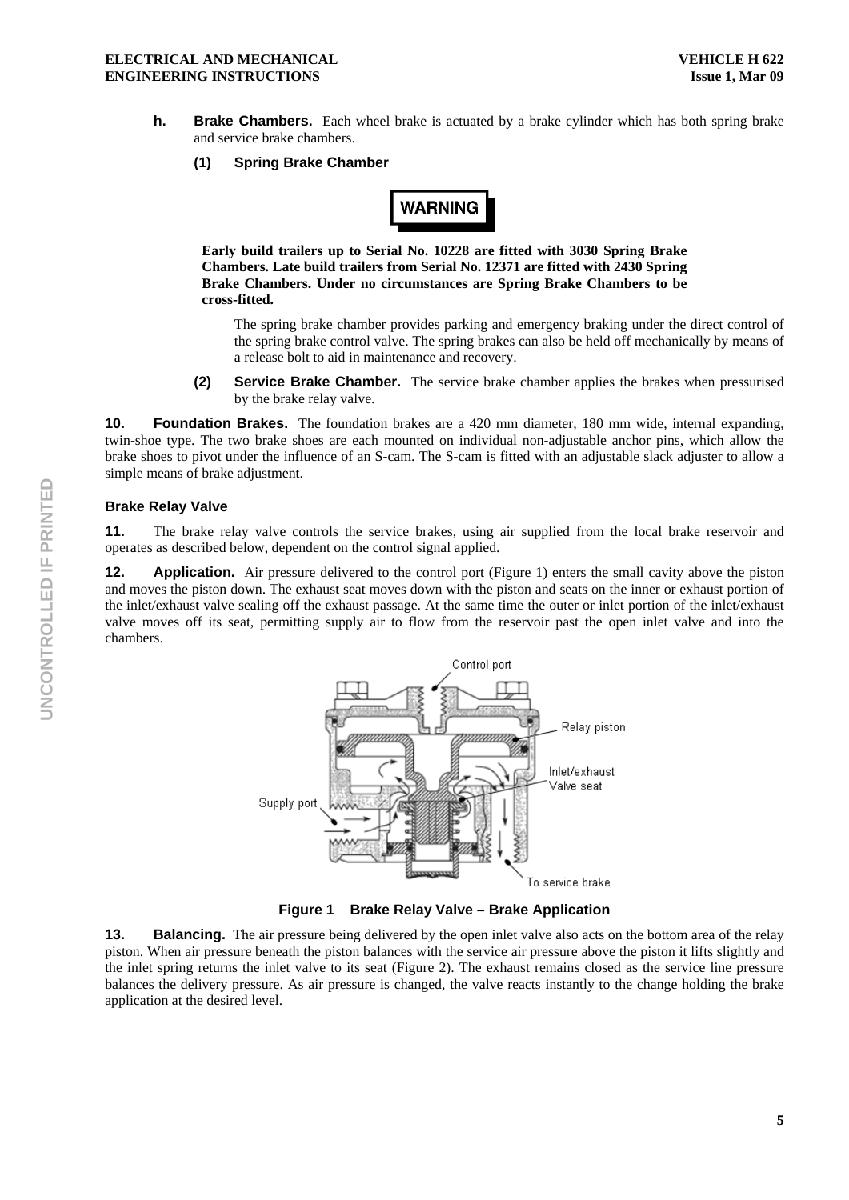- **h.** Brake Chambers. Each wheel brake is actuated by a brake cylinder which has both spring brake and service brake chambers.
	- **(1) Spring Brake Chamber**



**Early build trailers up to Serial No. 10228 are fitted with 3030 Spring Brake Chambers. Late build trailers from Serial No. 12371 are fitted with 2430 Spring Brake Chambers. Under no circumstances are Spring Brake Chambers to be cross-fitted.** 

The spring brake chamber provides parking and emergency braking under the direct control of the spring brake control valve. The spring brakes can also be held off mechanically by means of a release bolt to aid in maintenance and recovery.

**(2) Service Brake Chamber.** The service brake chamber applies the brakes when pressurised by the brake relay valve.

**10. Foundation Brakes.** The foundation brakes are a 420 mm diameter, 180 mm wide, internal expanding, twin-shoe type. The two brake shoes are each mounted on individual non-adjustable anchor pins, which allow the brake shoes to pivot under the influence of an S-cam. The S-cam is fitted with an adjustable slack adjuster to allow a simple means of brake adjustment.

#### **Brake Relay Valve**

**11.** The brake relay valve controls the service brakes, using air supplied from the local brake reservoir and operates as described below, dependent on the control signal applied.

**12. Application.** Air pressure delivered to the control port (Figure 1) enters the small cavity above the piston and moves the piston down. The exhaust seat moves down with the piston and seats on the inner or exhaust portion of the inlet/exhaust valve sealing off the exhaust passage. At the same time the outer or inlet portion of the inlet/exhaust valve moves off its seat, permitting supply air to flow from the reservoir past the open inlet valve and into the chambers.



**Figure 1 Brake Relay Valve – Brake Application** 

**13. Balancing.** The air pressure being delivered by the open inlet valve also acts on the bottom area of the relay piston. When air pressure beneath the piston balances with the service air pressure above the piston it lifts slightly and the inlet spring returns the inlet valve to its seat (Figure 2). The exhaust remains closed as the service line pressure balances the delivery pressure. As air pressure is changed, the valve reacts instantly to the change holding the brake application at the desired level.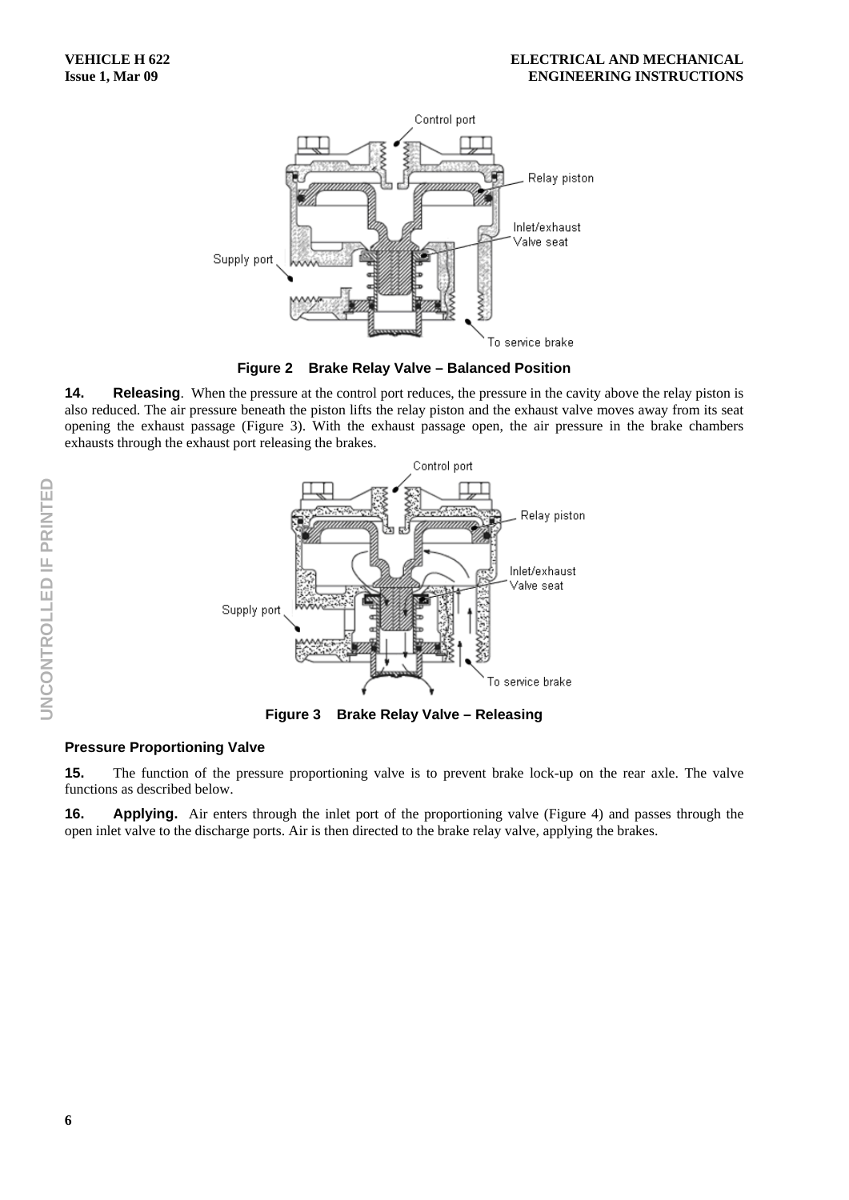

**Figure 2 Brake Relay Valve – Balanced Position** 

**14.** Releasing. When the pressure at the control port reduces, the pressure in the cavity above the relay piston is also reduced. The air pressure beneath the piston lifts the relay piston and the exhaust valve moves away from its seat opening the exhaust passage (Figure 3). With the exhaust passage open, the air pressure in the brake chambers exhausts through the exhaust port releasing the brakes.



**Figure 3 Brake Relay Valve – Releasing** 

## **Pressure Proportioning Valve**

**15.** The function of the pressure proportioning valve is to prevent brake lock-up on the rear axle. The valve functions as described below.

**16.** Applying. Air enters through the inlet port of the proportioning valve (Figure 4) and passes through the open inlet valve to the discharge ports. Air is then directed to the brake relay valve, applying the brakes.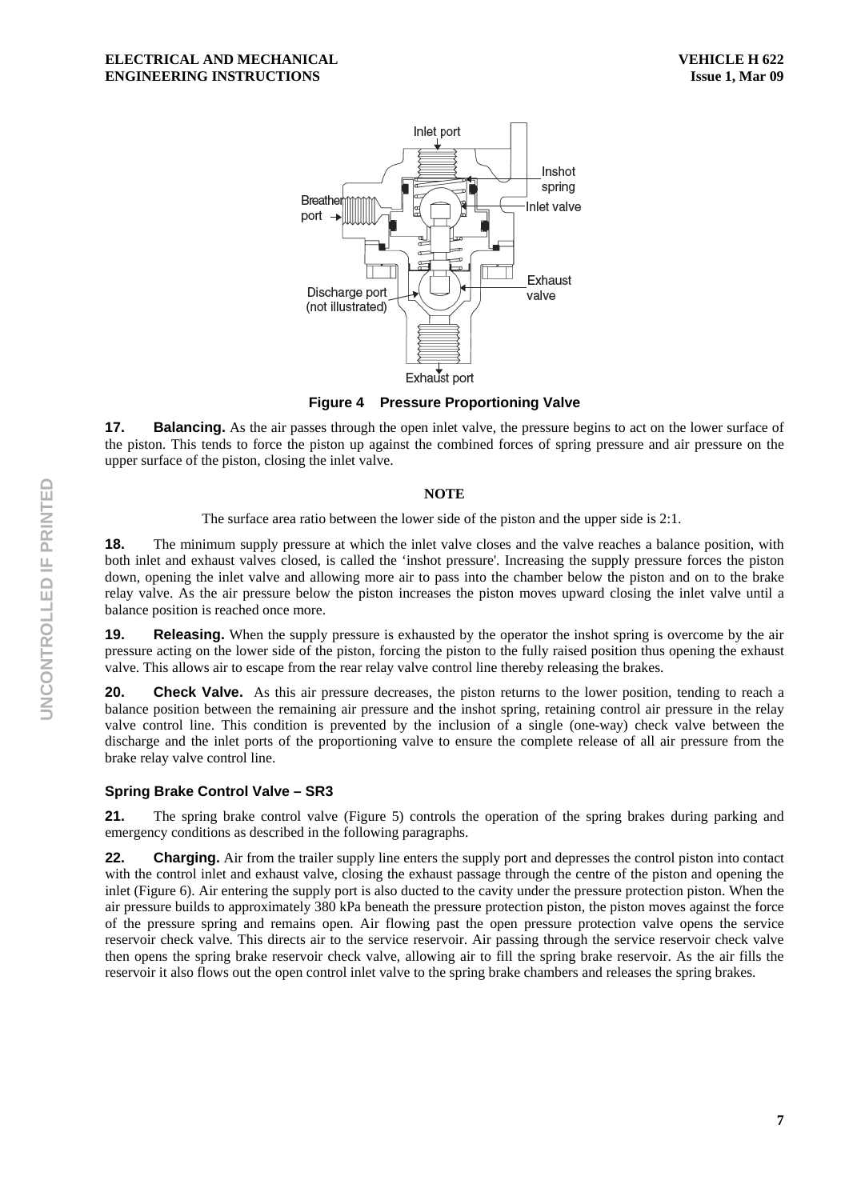

**Figure 4 Pressure Proportioning Valve** 

**17. Balancing.** As the air passes through the open inlet valve, the pressure begins to act on the lower surface of the piston. This tends to force the piston up against the combined forces of spring pressure and air pressure on the upper surface of the piston, closing the inlet valve.

#### **NOTE**

The surface area ratio between the lower side of the piston and the upper side is 2:1.

**18.** The minimum supply pressure at which the inlet valve closes and the valve reaches a balance position, with both inlet and exhaust valves closed, is called the 'inshot pressure'. Increasing the supply pressure forces the piston down, opening the inlet valve and allowing more air to pass into the chamber below the piston and on to the brake relay valve. As the air pressure below the piston increases the piston moves upward closing the inlet valve until a balance position is reached once more.

**19. Releasing.** When the supply pressure is exhausted by the operator the inshot spring is overcome by the air pressure acting on the lower side of the piston, forcing the piston to the fully raised position thus opening the exhaust valve. This allows air to escape from the rear relay valve control line thereby releasing the brakes.

**20.** Check Valve. As this air pressure decreases, the piston returns to the lower position, tending to reach a balance position between the remaining air pressure and the inshot spring, retaining control air pressure in the relay valve control line. This condition is prevented by the inclusion of a single (one-way) check valve between the discharge and the inlet ports of the proportioning valve to ensure the complete release of all air pressure from the brake relay valve control line.

#### **Spring Brake Control Valve – SR3**

**21.** The spring brake control valve (Figure 5) controls the operation of the spring brakes during parking and emergency conditions as described in the following paragraphs.

**22.** Charging. Air from the trailer supply line enters the supply port and depresses the control piston into contact with the control inlet and exhaust valve, closing the exhaust passage through the centre of the piston and opening the inlet (Figure 6). Air entering the supply port is also ducted to the cavity under the pressure protection piston. When the air pressure builds to approximately 380 kPa beneath the pressure protection piston, the piston moves against the force of the pressure spring and remains open. Air flowing past the open pressure protection valve opens the service reservoir check valve. This directs air to the service reservoir. Air passing through the service reservoir check valve then opens the spring brake reservoir check valve, allowing air to fill the spring brake reservoir. As the air fills the reservoir it also flows out the open control inlet valve to the spring brake chambers and releases the spring brakes.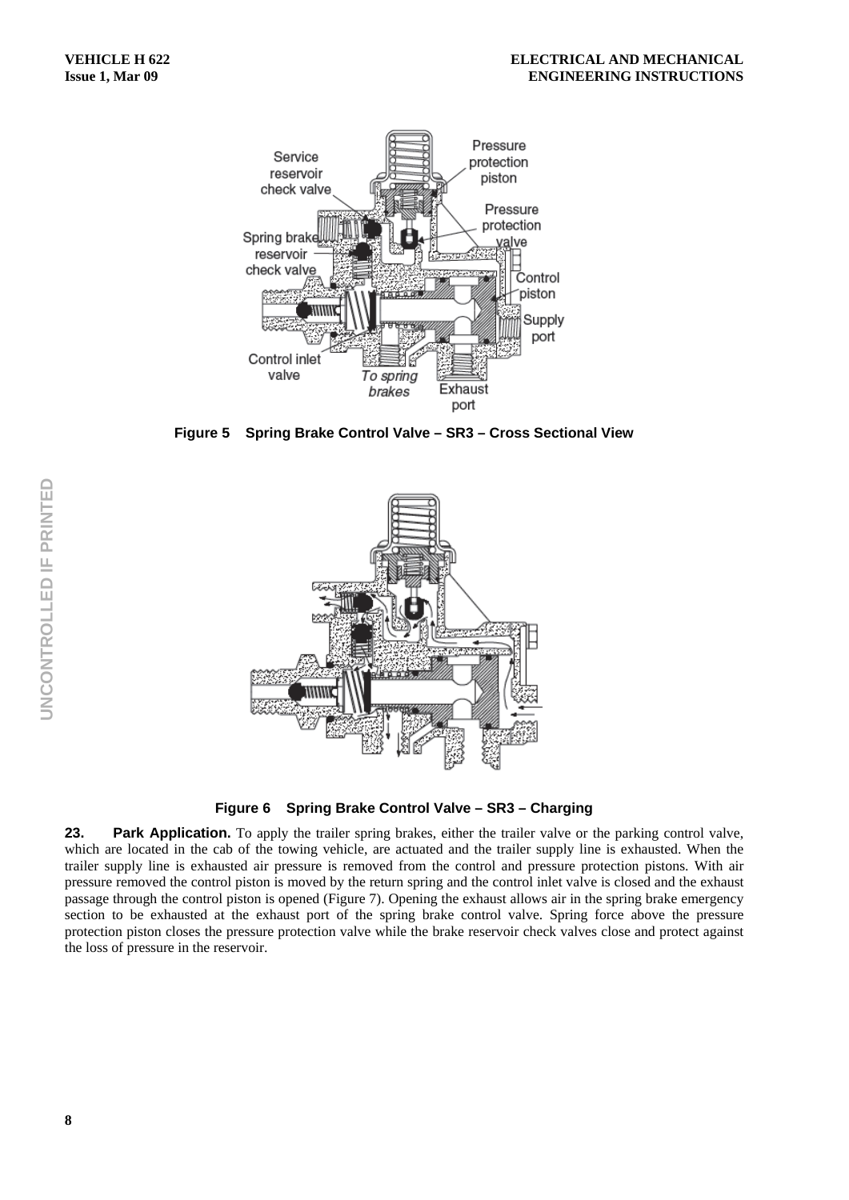

**Figure 5 Spring Brake Control Valve – SR3 – Cross Sectional View** 



**Figure 6 Spring Brake Control Valve – SR3 – Charging** 

23. Park Application. To apply the trailer spring brakes, either the trailer valve or the parking control valve, which are located in the cab of the towing vehicle, are actuated and the trailer supply line is exhausted. When the trailer supply line is exhausted air pressure is removed from the control and pressure protection pistons. With air pressure removed the control piston is moved by the return spring and the control inlet valve is closed and the exhaust passage through the control piston is opened (Figure 7). Opening the exhaust allows air in the spring brake emergency section to be exhausted at the exhaust port of the spring brake control valve. Spring force above the pressure protection piston closes the pressure protection valve while the brake reservoir check valves close and protect against the loss of pressure in the reservoir.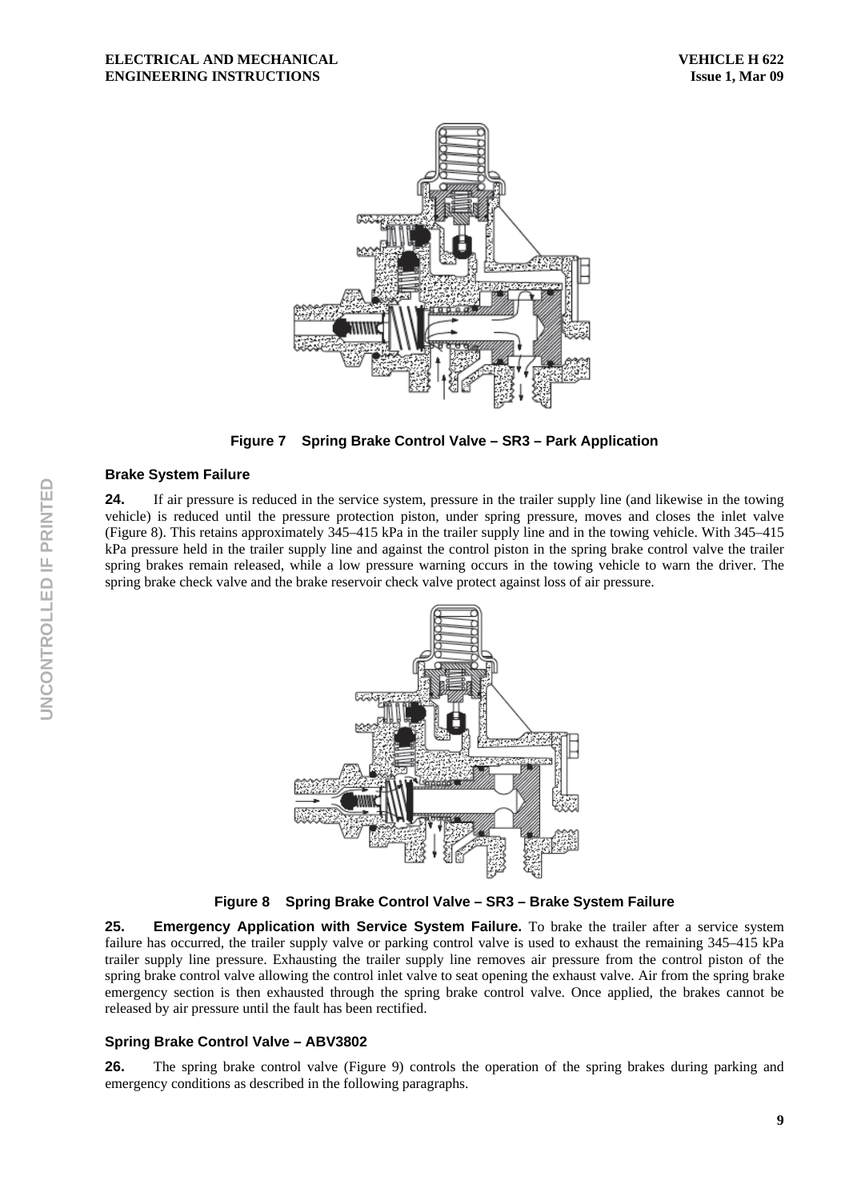

**Figure 7 Spring Brake Control Valve – SR3 – Park Application** 

## **Brake System Failure**

**24.** If air pressure is reduced in the service system, pressure in the trailer supply line (and likewise in the towing vehicle) is reduced until the pressure protection piston, under spring pressure, moves and closes the inlet valve (Figure 8). This retains approximately 345–415 kPa in the trailer supply line and in the towing vehicle. With 345–415 kPa pressure held in the trailer supply line and against the control piston in the spring brake control valve the trailer spring brakes remain released, while a low pressure warning occurs in the towing vehicle to warn the driver. The spring brake check valve and the brake reservoir check valve protect against loss of air pressure.



**Figure 8 Spring Brake Control Valve – SR3 – Brake System Failure** 

**25. Emergency Application with Service System Failure.** To brake the trailer after a service system failure has occurred, the trailer supply valve or parking control valve is used to exhaust the remaining 345–415 kPa trailer supply line pressure. Exhausting the trailer supply line removes air pressure from the control piston of the spring brake control valve allowing the control inlet valve to seat opening the exhaust valve. Air from the spring brake emergency section is then exhausted through the spring brake control valve. Once applied, the brakes cannot be released by air pressure until the fault has been rectified.

#### **Spring Brake Control Valve – ABV3802**

**26.** The spring brake control valve (Figure 9) controls the operation of the spring brakes during parking and emergency conditions as described in the following paragraphs.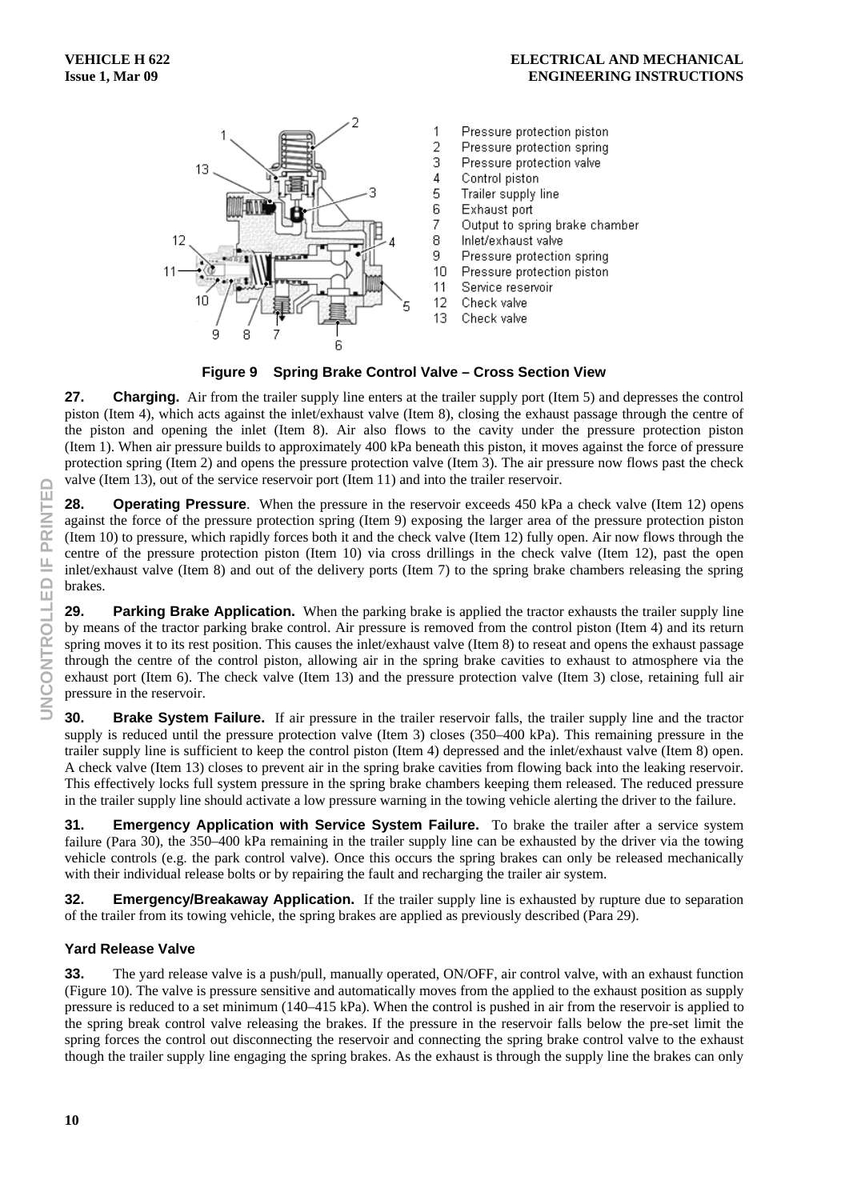

Pressure protection piston Pressure protection spring Pressure protection valve Control piston Trailer supply line Exhaust port Output to spring brake chamber Inlet/exhaust valve Pressure protection spring Pressure protection piston Service reservoir Check valve Check valve

**Figure 9 Spring Brake Control Valve – Cross Section View** 

 $\overline{1}$ 

 $\overline{a}$ 

3

 $\overline{4}$ 

5

6

 $\overline{7}$ 

8

9

10

11

12

13

27. Charging. Air from the trailer supply line enters at the trailer supply port (Item 5) and depresses the control piston (Item 4), which acts against the inlet/exhaust valve (Item 8), closing the exhaust passage through the centre of the piston and opening the inlet (Item 8). Air also flows to the cavity under the pressure protection piston (Item 1). When air pressure builds to approximately 400 kPa beneath this piston, it moves against the force of pressure protection spring (Item 2) and opens the pressure protection valve (Item 3). The air pressure now flows past the check valve (Item 13), out of the service reservoir port (Item 11) and into the trailer reservoir.

**28. Operating Pressure**. When the pressure in the reservoir exceeds 450 kPa a check valve (Item 12) opens against the force of the pressure protection spring (Item 9) exposing the larger area of the pressure protection piston (Item 10) to pressure, which rapidly forces both it and the check valve (Item 12) fully open. Air now flows through the centre of the pressure protection piston (Item 10) via cross drillings in the check valve (Item 12), past the open inlet/exhaust valve (Item 8) and out of the delivery ports (Item 7) to the spring brake chambers releasing the spring brakes.

**29. Parking Brake Application.** When the parking brake is applied the tractor exhausts the trailer supply line by means of the tractor parking brake control. Air pressure is removed from the control piston (Item 4) and its return spring moves it to its rest position. This causes the inlet/exhaust valve (Item 8) to reseat and opens the exhaust passage through the centre of the control piston, allowing air in the spring brake cavities to exhaust to atmosphere via the exhaust port (Item 6). The check valve (Item 13) and the pressure protection valve (Item 3) close, retaining full air pressure in the reservoir.

**30. Brake System Failure.** If air pressure in the trailer reservoir falls, the trailer supply line and the tractor supply is reduced until the pressure protection valve (Item 3) closes (350–400 kPa). This remaining pressure in the trailer supply line is sufficient to keep the control piston (Item 4) depressed and the inlet/exhaust valve (Item 8) open. A check valve (Item 13) closes to prevent air in the spring brake cavities from flowing back into the leaking reservoir. This effectively locks full system pressure in the spring brake chambers keeping them released. The reduced pressure in the trailer supply line should activate a low pressure warning in the towing vehicle alerting the driver to the failure.

**31. Emergency Application with Service System Failure.** To brake the trailer after a service system failure (Para 30), the 350–400 kPa remaining in the trailer supply line can be exhausted by the driver via the towing vehicle controls (e.g. the park control valve). Once this occurs the spring brakes can only be released mechanically with their individual release bolts or by repairing the fault and recharging the trailer air system.

**32. Emergency/Breakaway Application.** If the trailer supply line is exhausted by rupture due to separation of the trailer from its towing vehicle, the spring brakes are applied as previously described (Para 29).

## **Yard Release Valve**

**33.** The yard release valve is a push/pull, manually operated, ON/OFF, air control valve, with an exhaust function (Figure 10). The valve is pressure sensitive and automatically moves from the applied to the exhaust position as supply pressure is reduced to a set minimum (140–415 kPa). When the control is pushed in air from the reservoir is applied to the spring break control valve releasing the brakes. If the pressure in the reservoir falls below the pre-set limit the spring forces the control out disconnecting the reservoir and connecting the spring brake control valve to the exhaust though the trailer supply line engaging the spring brakes. As the exhaust is through the supply line the brakes can only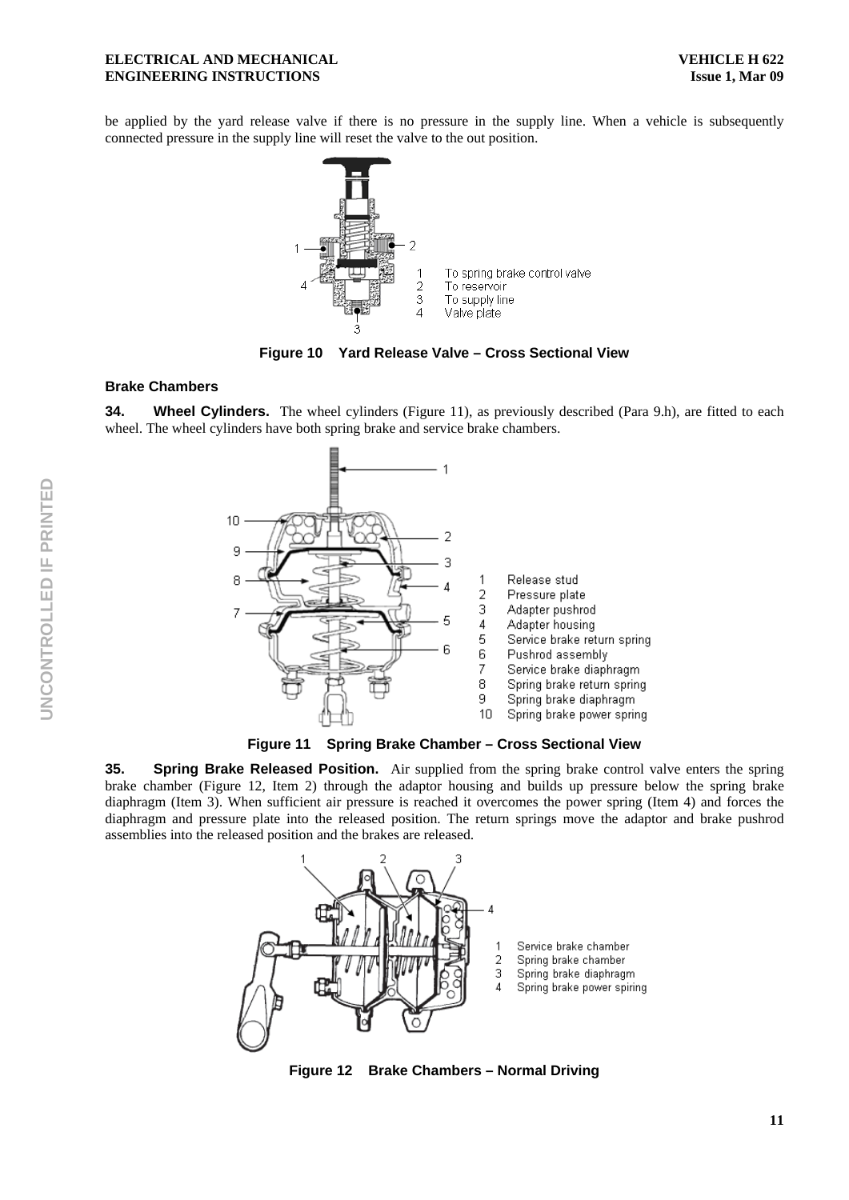#### **ELECTRICAL AND MECHANICAL ENGINEERING INSTRUCTIONS**

be applied by the yard release valve if there is no pressure in the supply line. When a vehicle is subsequently connected pressure in the supply line will reset the valve to the out position.



**Figure 10 Yard Release Valve – Cross Sectional View** 

#### **Brake Chambers**

**34.** Wheel Cylinders. The wheel cylinders (Figure 11), as previously described (Para 9.h), are fitted to each wheel. The wheel cylinders have both spring brake and service brake chambers.



**Figure 11 Spring Brake Chamber – Cross Sectional View** 

**35. Spring Brake Released Position.** Air supplied from the spring brake control valve enters the spring brake chamber (Figure 12, Item 2) through the adaptor housing and builds up pressure below the spring brake diaphragm (Item 3). When sufficient air pressure is reached it overcomes the power spring (Item 4) and forces the diaphragm and pressure plate into the released position. The return springs move the adaptor and brake pushrod assemblies into the released position and the brakes are released.



**Figure 12 Brake Chambers – Normal Driving**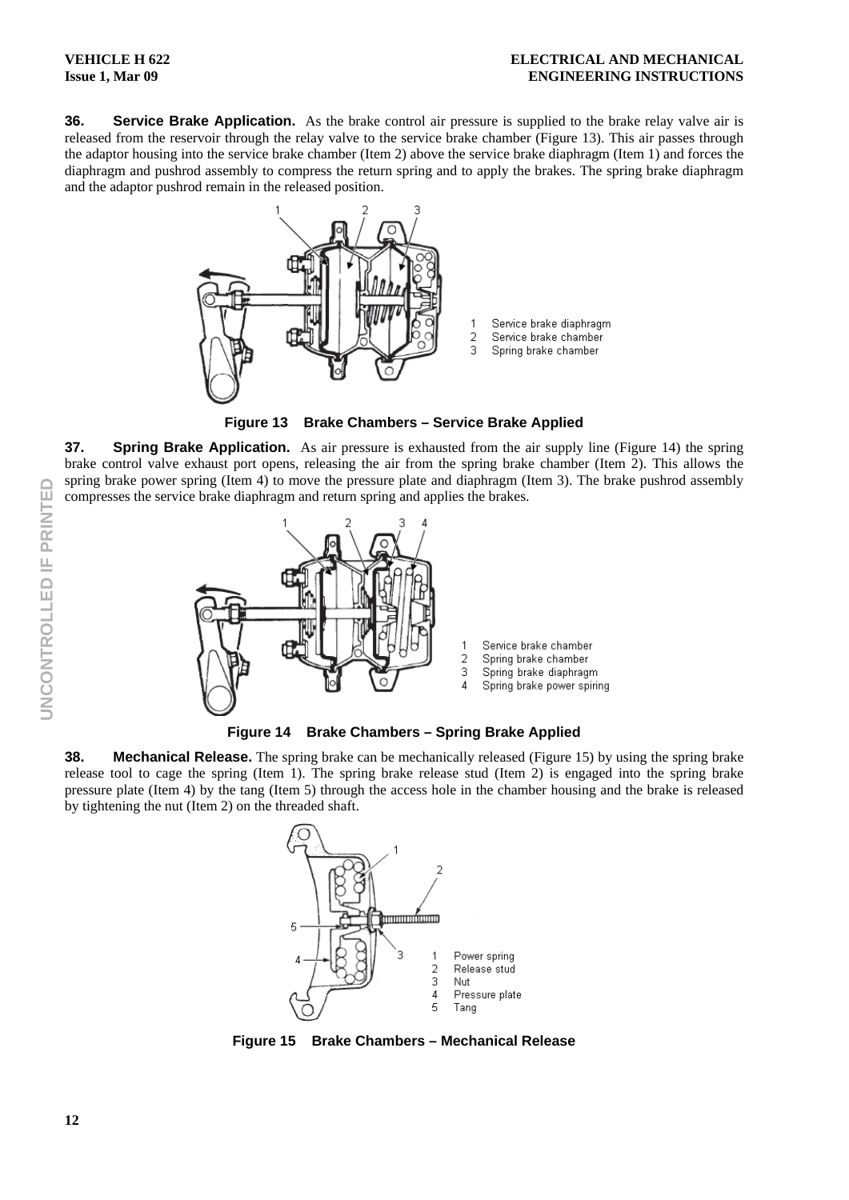## **VEHICLE H 622 Issue 1, Mar 09**

#### **ELECTRICAL AND MECHANICAL ENGINEERING INSTRUCTIONS**

**36.** Service Brake Application. As the brake control air pressure is supplied to the brake relay valve air is released from the reservoir through the relay valve to the service brake chamber (Figure 13). This air passes through the adaptor housing into the service brake chamber (Item 2) above the service brake diaphragm (Item 1) and forces the diaphragm and pushrod assembly to compress the return spring and to apply the brakes. The spring brake diaphragm and the adaptor pushrod remain in the released position.



**Figure 13 Brake Chambers – Service Brake Applied** 

**37. Spring Brake Application.** As air pressure is exhausted from the air supply line (Figure 14) the spring brake control valve exhaust port opens, releasing the air from the spring brake chamber (Item 2). This allows the spring brake power spring (Item 4) to move the pressure plate and diaphragm (Item 3). The brake pushrod assembly compresses the service brake diaphragm and return spring and applies the brakes.





**38. Mechanical Release.** The spring brake can be mechanically released (Figure 15) by using the spring brake release tool to cage the spring (Item 1). The spring brake release stud (Item 2) is engaged into the spring brake pressure plate (Item 4) by the tang (Item 5) through the access hole in the chamber housing and the brake is released by tightening the nut (Item 2) on the threaded shaft.



**Figure 15 Brake Chambers – Mechanical Release**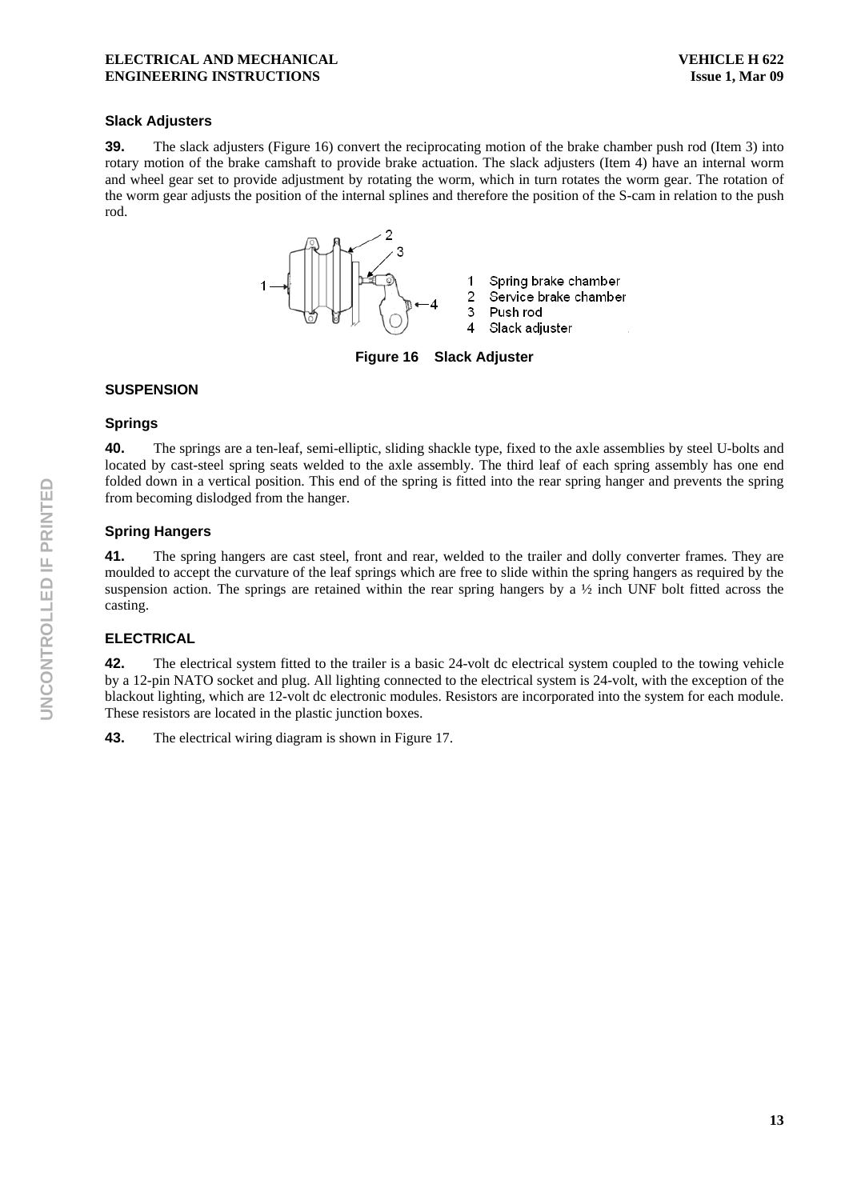#### **ELECTRICAL AND MECHANICAL ENGINEERING INSTRUCTIONS**

## **Slack Adjusters**

**39.** The slack adjusters (Figure 16) convert the reciprocating motion of the brake chamber push rod (Item 3) into rotary motion of the brake camshaft to provide brake actuation. The slack adjusters (Item 4) have an internal worm and wheel gear set to provide adjustment by rotating the worm, which in turn rotates the worm gear. The rotation of the worm gear adjusts the position of the internal splines and therefore the position of the S-cam in relation to the push rod.



**Figure 16 Slack Adjuster** 

## **SUSPENSION**

#### **Springs**

**40.** The springs are a ten-leaf, semi-elliptic, sliding shackle type, fixed to the axle assemblies by steel U-bolts and located by cast-steel spring seats welded to the axle assembly. The third leaf of each spring assembly has one end folded down in a vertical position. This end of the spring is fitted into the rear spring hanger and prevents the spring from becoming dislodged from the hanger.

## **Spring Hangers**

**41.** The spring hangers are cast steel, front and rear, welded to the trailer and dolly converter frames. They are moulded to accept the curvature of the leaf springs which are free to slide within the spring hangers as required by the suspension action. The springs are retained within the rear spring hangers by a  $\frac{1}{2}$  inch UNF bolt fitted across the casting.

## **ELECTRICAL**

**42.** The electrical system fitted to the trailer is a basic 24-volt dc electrical system coupled to the towing vehicle by a 12-pin NATO socket and plug. All lighting connected to the electrical system is 24-volt, with the exception of the blackout lighting, which are 12-volt dc electronic modules. Resistors are incorporated into the system for each module. These resistors are located in the plastic junction boxes.

**43.** The electrical wiring diagram is shown in Figure 17.